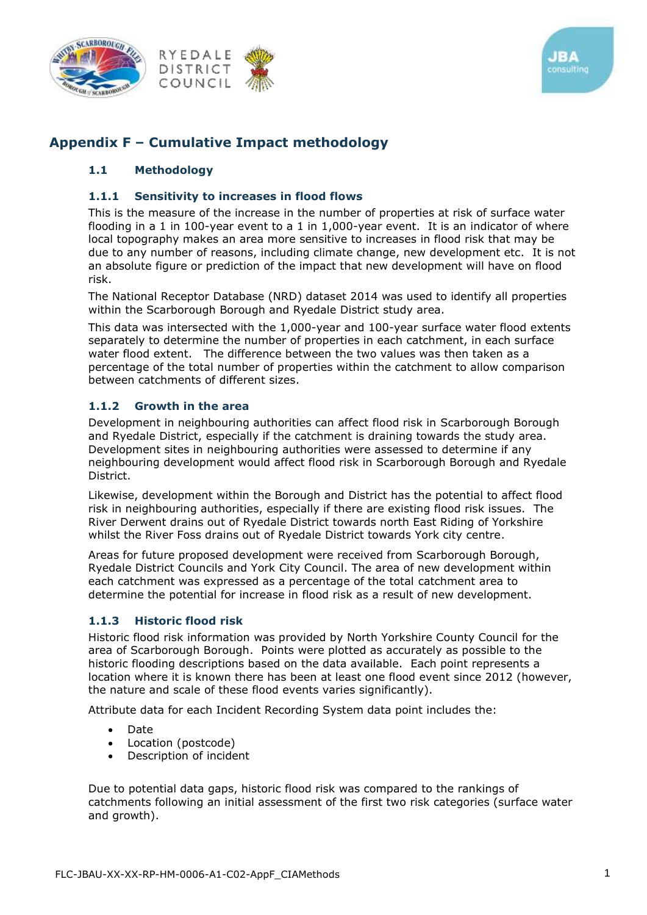





# **Appendix F – Cumulative Impact methodology**

# **1.1 Methodology**

### **1.1.1 Sensitivity to increases in flood flows**

This is the measure of the increase in the number of properties at risk of surface water flooding in a 1 in 100-year event to a 1 in 1,000-year event. It is an indicator of where local topography makes an area more sensitive to increases in flood risk that may be due to any number of reasons, including climate change, new development etc. It is not an absolute figure or prediction of the impact that new development will have on flood risk.

The National Receptor Database (NRD) dataset 2014 was used to identify all properties within the Scarborough Borough and Ryedale District study area.

This data was intersected with the 1,000-year and 100-year surface water flood extents separately to determine the number of properties in each catchment, in each surface water flood extent. The difference between the two values was then taken as a percentage of the total number of properties within the catchment to allow comparison between catchments of different sizes.

## **1.1.2 Growth in the area**

Development in neighbouring authorities can affect flood risk in Scarborough Borough and Ryedale District, especially if the catchment is draining towards the study area. Development sites in neighbouring authorities were assessed to determine if any neighbouring development would affect flood risk in Scarborough Borough and Ryedale District.

Likewise, development within the Borough and District has the potential to affect flood risk in neighbouring authorities, especially if there are existing flood risk issues. The River Derwent drains out of Ryedale District towards north East Riding of Yorkshire whilst the River Foss drains out of Ryedale District towards York city centre.

Areas for future proposed development were received from Scarborough Borough, Ryedale District Councils and York City Council. The area of new development within each catchment was expressed as a percentage of the total catchment area to determine the potential for increase in flood risk as a result of new development.

### **1.1.3 Historic flood risk**

Historic flood risk information was provided by North Yorkshire County Council for the area of Scarborough Borough. Points were plotted as accurately as possible to the historic flooding descriptions based on the data available. Each point represents a location where it is known there has been at least one flood event since 2012 (however, the nature and scale of these flood events varies significantly).

Attribute data for each Incident Recording System data point includes the:

- Date
- Location (postcode)
- Description of incident

Due to potential data gaps, historic flood risk was compared to the rankings of catchments following an initial assessment of the first two risk categories (surface water and growth).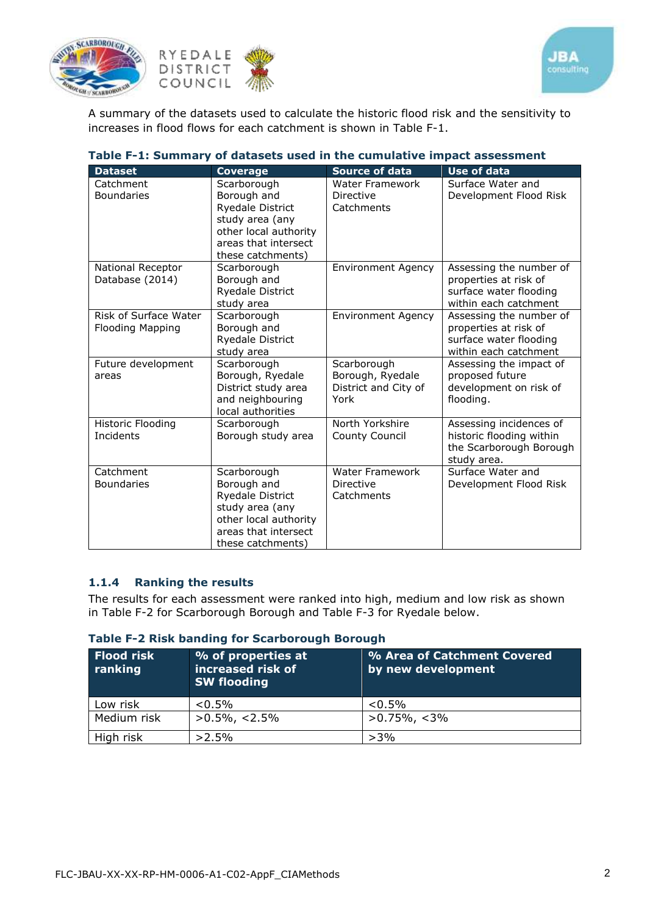



A summary of the datasets used to calculate the historic flood risk and the sensitivity to increases in flood flows for each catchment is shown in Table F-1.

| <b>Dataset</b>                                   | <b>Coverage</b>                                                                                                                                | <b>Source of data</b>                                           | <b>Use of data</b>                                                                                  |
|--------------------------------------------------|------------------------------------------------------------------------------------------------------------------------------------------------|-----------------------------------------------------------------|-----------------------------------------------------------------------------------------------------|
| Catchment<br><b>Boundaries</b>                   | Scarborough<br>Borough and<br><b>Ryedale District</b><br>study area (any<br>other local authority<br>areas that intersect<br>these catchments) | Water Framework<br>Directive<br>Catchments                      | Surface Water and<br>Development Flood Risk                                                         |
| National Receptor<br>Database (2014)             | Scarborough<br>Borough and<br>Ryedale District<br>study area                                                                                   | <b>Environment Agency</b>                                       | Assessing the number of<br>properties at risk of<br>surface water flooding<br>within each catchment |
| Risk of Surface Water<br><b>Flooding Mapping</b> | Scarborough<br>Borough and<br><b>Ryedale District</b><br>study area                                                                            | <b>Environment Agency</b>                                       | Assessing the number of<br>properties at risk of<br>surface water flooding<br>within each catchment |
| Future development<br>areas                      | Scarborough<br>Borough, Ryedale<br>District study area<br>and neighbouring<br>local authorities                                                | Scarborough<br>Borough, Ryedale<br>District and City of<br>York | Assessing the impact of<br>proposed future<br>development on risk of<br>flooding.                   |
| Historic Flooding<br>Incidents                   | Scarborough<br>Borough study area                                                                                                              | North Yorkshire<br>County Council                               | Assessing incidences of<br>historic flooding within<br>the Scarborough Borough<br>study area.       |
| Catchment<br><b>Boundaries</b>                   | Scarborough<br>Borough and<br><b>Ryedale District</b><br>study area (any<br>other local authority<br>areas that intersect<br>these catchments) | Water Framework<br>Directive<br>Catchments                      | Surface Water and<br>Development Flood Risk                                                         |

### **Table F-1: Summary of datasets used in the cumulative impact assessment**

#### **1.1.4 Ranking the results**

The results for each assessment were ranked into high, medium and low risk as shown in Table F-2 for Scarborough Borough and Table F-3 for Ryedale below.

### **Table F-2 Risk banding for Scarborough Borough**

| <b>Flood risk</b><br>ranking | % of properties at<br>increased risk of<br><b>SW flooding</b> | % Area of Catchment Covered<br>by new development |
|------------------------------|---------------------------------------------------------------|---------------------------------------------------|
| Low risk                     | $< 0.5\%$                                                     | $< 0.5\%$                                         |
| Medium risk                  | $>0.5\%$ , <2.5%                                              | $>0.75\%$ , <3%                                   |
| High risk                    | >2.5%                                                         | >3%                                               |